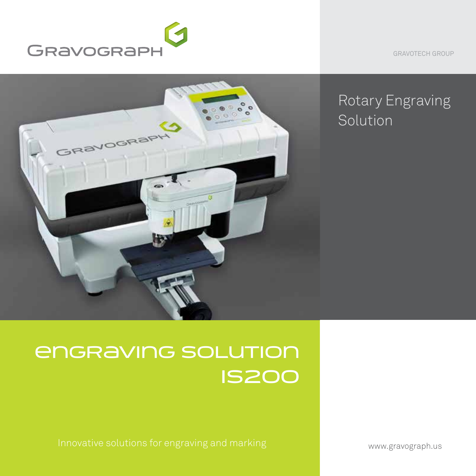

GRAVOTECH GROUP



# Rotary Engraving Solution

# ENGRAVING SOLUTION IS200

www.gravograph.us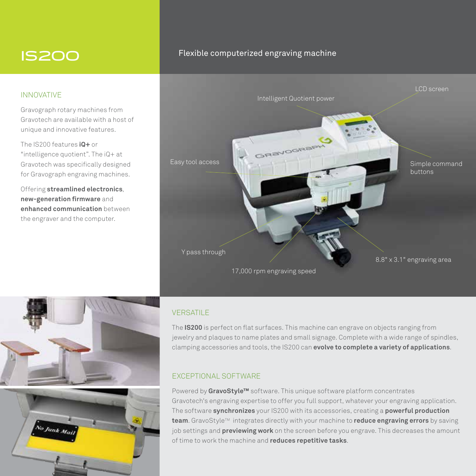## IS200

#### INNOVATIVE

Gravograph rotary machines from Gravotech are available with a host of unique and innovative features.

The IS200 features **iQ+** or "intelligence quotient". The iQ+ at Gravotech was specifically designed for Gravograph engraving machines.

Offering **streamlined electronics**, **new-generation firmware** and **enhanced communication** between the engraver and the computer.

### Flexible computerized engraving machine





#### **VERSATILE**

The **IS200** is perfect on flat surfaces. This machine can engrave on objects ranging from jewelry and plaques to name plates and small signage. Complete with a wide range of spindles, clamping accessories and tools, the IS200 can **evolve to complete a variety of applications**.

### EXCEPTIONAL SOFTWARE

Powered by **GravoStyle™** software. This unique software platform concentrates Gravotech's engraving expertise to offer you full support, whatever your engraving application. The software **synchronizes** your IS200 with its accessories, creating a **powerful production**  team. GravoStyle™ integrates directly with your machine to reduce engraving errors by saving job settings and **previewing work** on the screen before you engrave. This decreases the amount of time to work the machine and **reduces repetitive tasks**.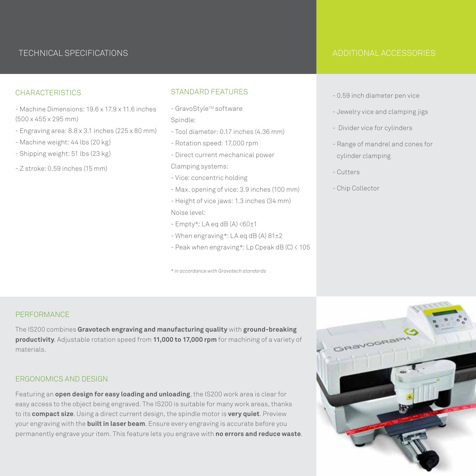## TECHNICAL SPECIFICATIONS ADDITIONAL ACCESSORIES

#### **CHARACTERISTICS**

- Machine Dimensions: 19.6 x 17.9 x 11.6 inches (500 x 455 x 295 mm)
- Engraving area: 8.8 x 3.1 inches (225 x 80 mm)
- Machine weight: 44 lbs (20 kg)
- Shipping weight: 51 lbs (23 kg)
- Z stroke: 0.59 inches (15 mm)

#### STANDARD FEATURES

- GravoStyle™ software Spindle:
- Tool diameter: 0.17 inches (4.36 mm)
- Rotation speed: 17,000 rpm
- Direct current mechanical power
- Clamping systems:
- Vice: concentric holding
- Max. opening of vice: 3.9 inches (100 mm)
- Height of vice jaws: 1.3 inches (34 mm) Noise level:
- $-$  Empty\*: LA eq dB (A)  $\langle 60 \pm 1 \rangle$
- When engraving\*: LA eq dB (A) 81±2
- Peak when engraving\*: Lp Cpeak dB (C) < 105

*\* in accordance with Gravotech standards*

- 0.59 inch diameter pen vice
- Jewelry vice and clamping jigs
- Divider vice for cylinders
- Range of mandrel and cones for cylinder clamping
- Cutters
- Chip Collector

#### **PERFORMANCE**

The IS200 combines **Gravotech engraving and manufacturing quality** with **ground-breaking productivity**. Adjustable rotation speed from **11,000 to 17,000 rpm** for machining of a variety of materials.

#### ERGONOMICS AND DESIGN

Featuring an **open design for easy loading and unloading**, the IS200 work area is clear for easy access to the object being engraved. The IS200 is suitable for many work areas, thanks to its **compact size**. Using a direct current design, the spindle motor is **very quiet**. Preview your engraving with the **built in laser beam**. Ensure every engraving is accurate before you permanently engrave your item. This feature lets you engrave with **no errors and reduce waste**.